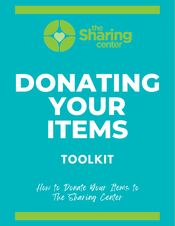

# **DONATING YOUR ITEMS**

## **TOOLKIT**

How to Donate Your Items to The Sharing Center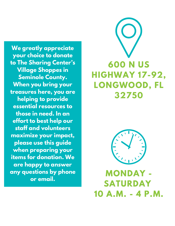**We greatly appreciate your choice to donate to The Sharing Center's Village Shoppes in Seminole County. When you bring your treasures here, you are helping to provide essential resources to those in need. In an effort to best help our staff and volunteers maximize your impact, please use this guide when preparing your items for donation. We are happy to answer any questions by phone or email.**





**MONDAY - SATURDAY 10 A.M. - 4 P.M.**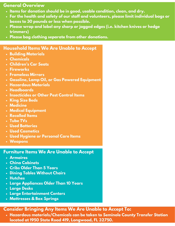#### **General Overview**

- **Items for donation should be in good, usable condition, clean, and dry.**
- **For the health and safety of our staff and volunteers, please limit individual bags or boxes to 30 pounds or less when possible.**
- **Please wrap and label any sharp or jagged edges (i.e. kitchen knives or hedge trimmers)**
- **Please bag clothing separate from other donations.**

#### **Household Items We Are Unable to Accept**

- **Building Materials**
- **Chemicals**
- **Children's Car Seats**
- **Fireworks**
- **Frameless Mirrors**
- **Gasoline, Lamp Oil, or Gas Powered Equipment**
- **Hazardous Materials**
- **Headboards**
- **Insecticides or Other Pest Control Items**
- **King Size Beds**
- **Medicine**
- **Medical Equipment**
- **Recalled Items**
- **Tube TVs**
- **Used Batteries**
- **Used Cosmetics**
- **Used Hygiene or Personal Care Items**
- **Weapons**

#### **Furniture Items We Are Unable to Accept**

- **Armoires**
- **China Cabinets**
- **Cribs Older Than 5 Years**
- **Dining Tables Without Chairs**
- **Hutches**
- **Large Appliances Older Than 10 Years**
- **Large Desks**
- **Large Entertainment Centers**
- **Mattresses & Box Springs**

### **Consider Bringing Any Items We Are Unable to Accept To:**

**Hazardous materials/Chemicals can be taken to Seminole County Transfer Station located at 1950 State Road 419, Longwood, FL 32750.**